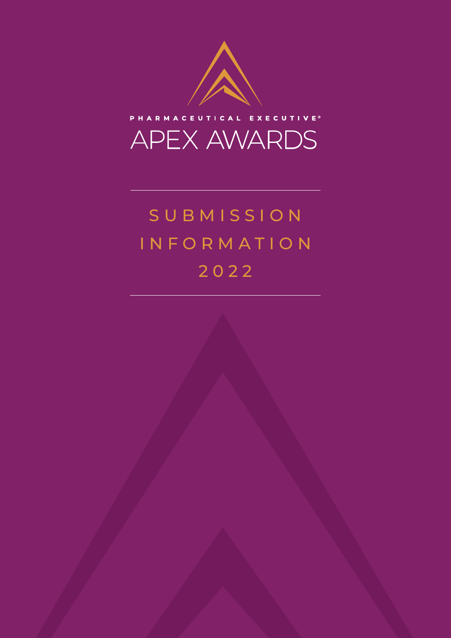



# S U B M I S S I O N INFORMATION 2022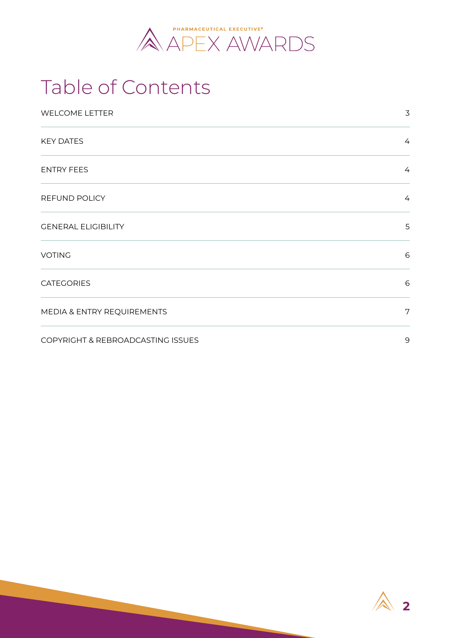

## Table of Contents

| <b>WELCOME LETTER</b>             | $\mathsf 3$    |
|-----------------------------------|----------------|
| <b>KEY DATES</b>                  | $\overline{4}$ |
| <b>ENTRY FEES</b>                 | $\overline{4}$ |
| <b>REFUND POLICY</b>              | $\overline{4}$ |
| <b>GENERAL ELIGIBILITY</b>        | 5              |
| <b>VOTING</b>                     | 6              |
| <b>CATEGORIES</b>                 | 6              |
| MEDIA & ENTRY REQUIREMENTS        | 7              |
| COPYRIGHT & REBROADCASTING ISSUES | 9              |

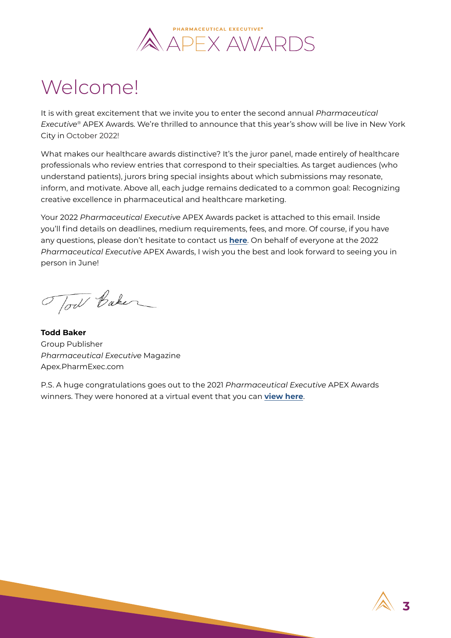

# <span id="page-2-0"></span>Welcome!

It is with great excitement that we invite you to enter the second annual *Pharmaceutical Executive®* APEX Awards. We're thrilled to announce that this year's show will be live in New York City in October 2022!

What makes our healthcare awards distinctive? It's the juror panel, made entirely of healthcare professionals who review entries that correspond to their specialties. As target audiences (who understand patients), jurors bring special insights about which submissions may resonate, inform, and motivate. Above all, each judge remains dedicated to a common goal: Recognizing creative excellence in pharmaceutical and healthcare marketing.

Your 2022 *Pharmaceutical Executive* APEX Awards packet is attached to this email. Inside you'll find details on deadlines, medium requirements, fees, and more. Of course, if you have any questions, please don't hesitate to contact us **[here](mailto:peAPEX@mjhlifesciences.com)**. On behalf of everyone at the 2022 *Pharmaceutical Executive* APEX Awards, I wish you the best and look forward to seeing you in person in June!

Tow Baker

**Todd Baker** Group Publisher *Pharmaceutical Executive* Magazine Apex.PharmExec.com

P.S. A huge congratulations goes out to the 2021 *Pharmaceutical Executive* APEX Awards winners. They were honored at a virtual event that you can **[view here](https://studio.mjhassoc.com/reach/apexawards)**.

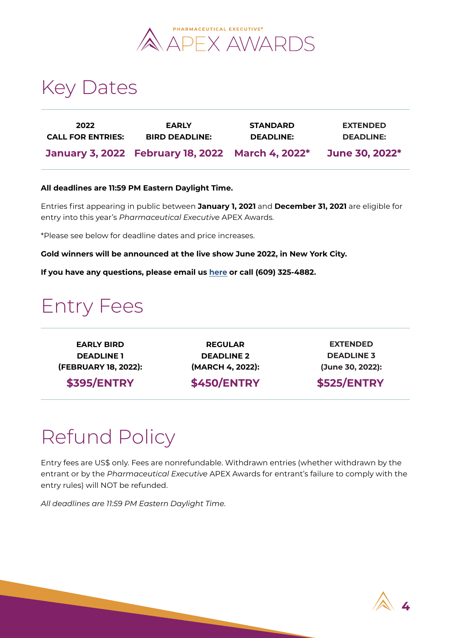

### <span id="page-3-0"></span>Key Dates

| 2022                     | <b>EARLY</b>                                     | <b>STANDARD</b>  | <b>EXTENDED</b>       |
|--------------------------|--------------------------------------------------|------------------|-----------------------|
| <b>CALL FOR ENTRIES:</b> | <b>BIRD DEADLINE:</b>                            | <b>DEADLINE:</b> | <b>DEADLINE:</b>      |
|                          | January 3, 2022 February 18, 2022 March 4, 2022* |                  | <b>June 30, 2022*</b> |

#### **All deadlines are 11:59 PM Eastern Daylight Time.**

Entries first appearing in public between **January 1, 2021** and **December 31, 2021** are eligible for entry into this year's *Pharmaceutical Executive* APEX Awards.

\*Please see below for deadline dates and price increases.

**Gold winners will be announced at the live show June 2022, in New York City.** 

**If you have any questions, please email us [here](mailto:peAPEX@mjhlifesciences.com) or call (609) 325-4882.**

### Entry Fees

**EARLY BIRD DEADLINE 1 (FEBRUARY 18, 2022):** 

**\$395/ENTRY** 

**REGULAR DEADLINE 2 (MARCH 4, 2022):** 

**\$450/ENTRY** 

**LATE EXTENDED DEADLINE DEADLINE 3 (MARCH 18, 2022): (June 30, 2022):**

#### **\$525/ENTRY**

# Refund Policy

Entry fees are US\$ only. Fees are nonrefundable. Withdrawn entries (whether withdrawn by the entrant or by the *Pharmaceutical Executive* APEX Awards for entrant's failure to comply with the entry rules) will NOT be refunded.

*All deadlines are 11:59 PM Eastern Daylight Time.*

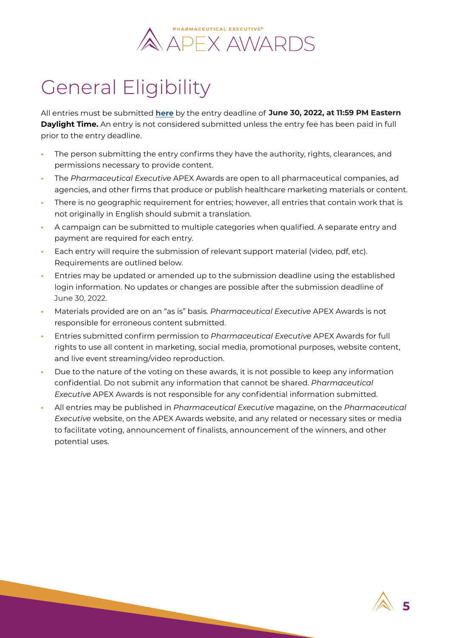### PHARMACEUTICAL EXECUTIVE® **APEX AWARDS**

# <span id="page-4-0"></span>General Eligibility

All entries must be submitted **[here](https://apex.pharmexec.com/pages/apex-home)** by the entry deadline of **March 18, 2022, at 11:59 PM Eastern June 30, 2022, at 11:59 PM Eastern Daylight Time.** An entry is not considered submitted unless the entry fee has been paid in full prior to the entry deadline.

- **•** The person submitting the entry confirms they have the authority, rights, clearances, and permissions necessary to provide content.
- **•** The *Pharmaceutical Executive* APEX Awards are open to all pharmaceutical companies, ad agencies, and other firms that produce or publish healthcare marketing materials or content.
- **•** There is no geographic requirement for entries; however, all entries that contain work that is not originally in English should submit a translation.
- **•** A campaign can be submitted to multiple categories when qualified. A separate entry and payment are required for each entry.
- **•** Each entry will require the submission of relevant support material (video, pdf, etc). Requirements are outlined below.
- **•** Entries may be updated or amended up to the submission deadline using the established login information. No updates or changes are possible after the submission deadline of June 30, 2022.
- **•** Materials provided are on an "as is" basis. *Pharmaceutical Executive* APEX Awards is not responsible for erroneous content submitted.
- **•** Entries submitted confirm permission to *Pharmaceutical Executive* APEX Awards for full rights to use all content in marketing, social media, promotional purposes, website content, and live event streaming/video reproduction.
- **•** Due to the nature of the voting on these awards, it is not possible to keep any information confidential. Do not submit any information that cannot be shared. *Pharmaceutical Executive* APEX Awards is not responsible for any confidential information submitted.
- **•** All entries may be published in *Pharmaceutical Executive* magazine, on the *Pharmaceutical Executive* website, on the APEX Awards website, and any related or necessary sites or media to facilitate voting, announcement of finalists, announcement of the winners, and other potential uses.

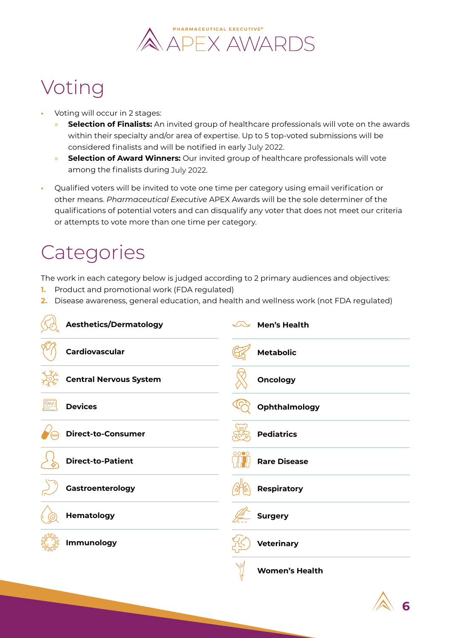

### <span id="page-5-0"></span>Voting

- **•** Voting will occur in 2 stages:
	- » **Selection of Finalists:** An invited group of healthcare professionals will vote on the awards within their specialty and/or area of expertise. Up to 5 top-voted submissions will be considered finalists and will be notified in early July 2022.
	- » **Selection of Award Winners:** Our invited group of healthcare professionals will vote among the finalists during July 2022.
- **•** Qualified voters will be invited to vote one time per category using email verification or other means. *Pharmaceutical Executive* APEX Awards will be the sole determiner of the qualifications of potential voters and can disqualify any voter that does not meet our criteria or attempts to vote more than one time per category.

## **Categories**

The work in each category below is judged according to 2 primary audiences and objectives:

- **1.** Product and promotional work (FDA regulated)
- **2.** Disease awareness, general education, and health and wellness work (not FDA regulated)



**6**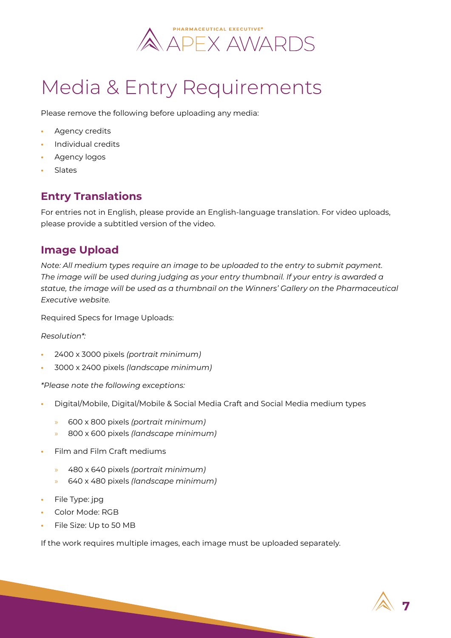

# <span id="page-6-0"></span>Media & Entry Requirements

Please remove the following before uploading any media:

- **•** Agency credits
- **•** Individual credits
- **•** Agency logos
- **•** Slates

### **Entry Translations**

For entries not in English, please provide an English-language translation. For video uploads, please provide a subtitled version of the video.

#### **Image Upload**

*Note: All medium types require an image to be uploaded to the entry to submit payment. The image will be used during judging as your entry thumbnail. If your entry is awarded a statue, the image will be used as a thumbnail on the Winners' Gallery on the Pharmaceutical Executive website.* 

Required Specs for Image Uploads:

*Resolution\*:* 

- **•** 2400 x 3000 pixels *(portrait minimum)*
- **•** 3000 x 2400 pixels *(landscape minimum)*

*\*Please note the following exceptions:* 

- **•** Digital/Mobile, Digital/Mobile & Social Media Craft and Social Media medium types
	- » 600 x 800 pixels *(portrait minimum)*
	- » 800 x 600 pixels *(landscape minimum)*
- **•** Film and Film Craft mediums
	- » 480 x 640 pixels *(portrait minimum)*
	- » 640 x 480 pixels *(landscape minimum)*
- **•** File Type: jpg
- **•** Color Mode: RGB
- **•** File Size: Up to 50 MB

If the work requires multiple images, each image must be uploaded separately.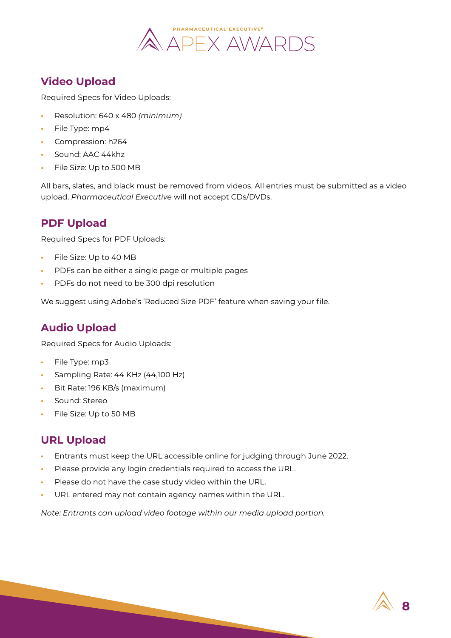

### **Video Upload**

Required Specs for Video Uploads:

- **•** Resolution: 640 x 480 *(minimum)*
- **•** File Type: mp4
- **•** Compression: h264
- **•** Sound: AAC 44khz
- **•** File Size: Up to 500 MB

All bars, slates, and black must be removed from videos. All entries must be submitted as a video upload. *Pharmaceutical Executive* will not accept CDs/DVDs.

### **PDF Upload**

Required Specs for PDF Uploads:

- **•** File Size: Up to 40 MB
- **•** PDFs can be either a single page or multiple pages
- **•** PDFs do not need to be 300 dpi resolution

We suggest using Adobe's 'Reduced Size PDF' feature when saving your file.

### **Audio Upload**

Required Specs for Audio Uploads:

- **•** File Type: mp3
- **•** Sampling Rate: 44 KHz (44,100 Hz)
- **•** Bit Rate: 196 KB/s (maximum)
- **•** Sound: Stereo
- **•** File Size: Up to 50 MB

### **URL Upload**

- **•** Entrants must keep the URL accessible online for judging through June 2022.
- **•** Please provide any login credentials required to access the URL.
- **•** Please do not have the case study video within the URL.
- **•** URL entered may not contain agency names within the URL.

*Note: Entrants can upload video footage within our media upload portion.*

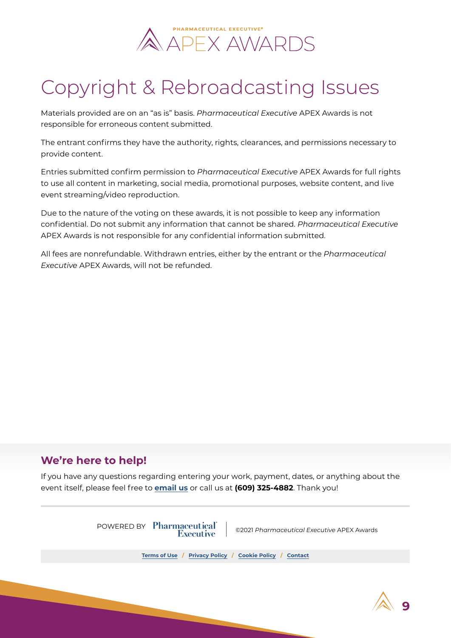

# <span id="page-8-0"></span>Copyright & Rebroadcasting Issues

Materials provided are on an "as is" basis. *Pharmaceutical Executive* APEX Awards is not responsible for erroneous content submitted.

The entrant confirms they have the authority, rights, clearances, and permissions necessary to provide content.

Entries submitted confirm permission to *Pharmaceutical Executive* APEX Awards for full rights to use all content in marketing, social media, promotional purposes, website content, and live event streaming/video reproduction.

Due to the nature of the voting on these awards, it is not possible to keep any information confidential. Do not submit any information that cannot be shared. *Pharmaceutical Executive* APEX Awards is not responsible for any confidential information submitted.

All fees are nonrefundable. Withdrawn entries, either by the entrant or the *Pharmaceutical Executive* APEX Awards, will not be refunded.

### **We're here to help!**

If you have any questions regarding entering your work, payment, dates, or anything about the event itself, please feel free to **[email us](mailto:peAPEX@mjhlifesciences.com)** or call us at **(609) 325-4882**. Thank you!



**9**

**[Terms of Use](https://apex.pharmexec.com/pages/t-c-2) / [Privacy Policy](https://apex.pharmexec.com/pages/privacy-policy-8) / [Cookie Policy](https://apex.pharmexec.com/pages/cookie-policy) / [Contact](mailto:peAPEX@mjhlifesciences.com)**